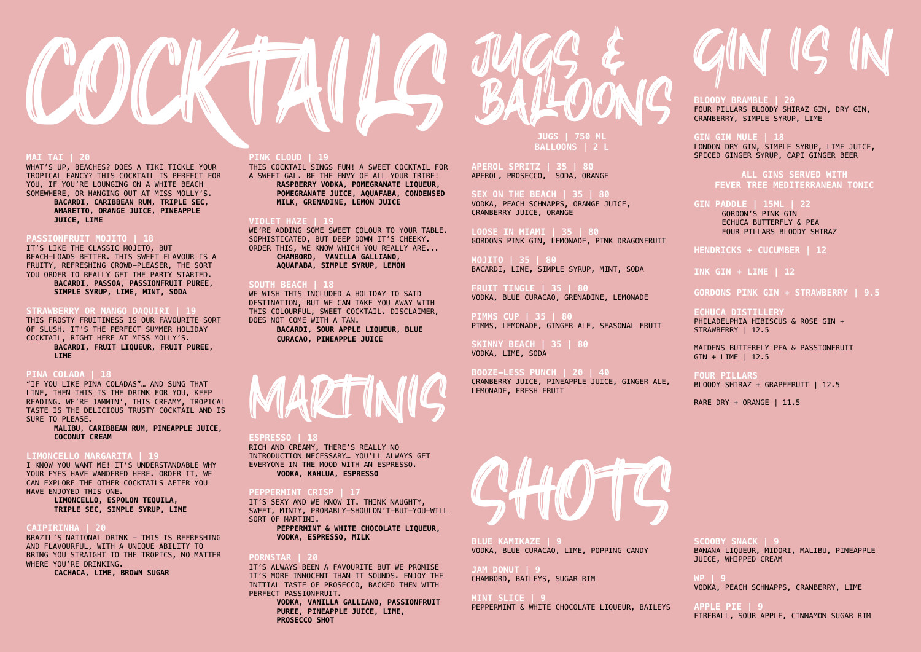#### **MAI TAI | 20**

WHAT'S UP, BEACHES? DOES A TIKI TICKLE YOUR TROPICAL FANCY? THIS COCKTAIL IS PERFECT FOR YOU, IF YOU'RE LOUNGING ON A WHITE BEACH SOMEWHERE, OR HANGING OUT AT MISS MOLLY'S.

> **BACARDI, CARIBBEAN RUM, TRIPLE SEC, AMARETTO, ORANGE JUICE, PINEAPPLE JUICE, LIME**

#### **PASSIONFRUIT MOJITO | 18**

IT'S LIKE THE CLASSIC MOJITO, BUT BEACH-LOADS BETTER. THIS SWEET FLAVOUR IS A FRUITY, REFRESHING CROWD-PLEASER, THE SORT YOU ORDER TO REALLY GET THE PARTY STARTED. **BACARDI, PASSOA, PASSIONFRUIT PUREE,** 

**SIMPLE SYRUP, LIME, MINT, SODA**

### **STRAWBERRY OR MANGO DAQUIRI | 19**

THIS FROSTY FRUITINESS IS OUR FAVOURITE SORT OF SLUSH. IT'S THE PERFECT SUMMER HOLIDAY COCKTAIL, RIGHT HERE AT MISS MOLLY'S. **BACARDI, FRUIT LIQUEUR, FRUIT PUREE,** 

**LIME**

### **PINA COLADA | 18**

"IF YOU LIKE PINA COLADAS"… AND SUNG THAT LINE, THEN THIS IS THE DRINK FOR YOU, KEEP READING. WE'RE JAMMIN', THIS CREAMY, TROPICAL TASTE IS THE DELICIOUS TRUSTY COCKTAIL AND IS SURE TO PLEASE.

> **MALIBU, CARIBBEAN RUM, PINEAPPLE JUICE, COCONUT CREAM**

# **LIMONCELLO MARGARITA | 19**

I KNOW YOU WANT ME! IT'S UNDERSTANDABLE WHY YOUR EYES HAVE WANDERED HERE. ORDER IT, WE CAN EXPLORE THE OTHER COCKTAILS AFTER YOU HAVE ENJOYED THIS ONE.

> **LIMONCELLO, ESPOLON TEQUILA, TRIPLE SEC, SIMPLE SYRUP, LIME**

#### **CAIPIRINHA | 20**

BRAZIL'S NATIONAL DRINK - THIS IS REFRESHING AND FLAVOURFUL, WITH A UNIQUE ABILITY TO BRING YOU STRAIGHT TO THE TROPICS, NO MATTER WHERE YOU'RE DRINKING.

**CACHACA, LIME, BROWN SUGAR**



#### **PINK CLOUD | 19**

THIS COCKTAIL SINGS FUN! A SWEET COCKTAIL FOR A SWEET GAL. BE THE ENVY OF ALL YOUR TRIBE! **RASPBERRY VODKA, POMEGRANATE LIQUEUR, POMEGRANATE JUICE, AQUAFABA, CONDENSED MILK, GRENADINE, LEMON JUICE**

#### **VIOLET HAZE | 19**

WE'RE ADDING SOME SWEET COLOUR TO YOUR TABLE. SOPHISTICATED, BUT DEEP DOWN IT'S CHEEKY. ORDER THIS, WE KNOW WHICH YOU REALLY ARE... **CHAMBORD, VANILLA GALLIANO, AQUAFABA, SIMPLE SYRUP, LEMON**

# **SOUTH BEACH | 18**

WE WISH THIS INCLUDED A HOLIDAY TO SAID DESTINATION, BUT WE CAN TAKE YOU AWAY WITH THIS COLOURFUL, SWEET COCKTAIL. DISCLAIMER, DOES NOT COME WITH A TAN.

**BACARDI, SOUR APPLE LIQUEUR, BLUE CURACAO, PINEAPPLE JUICE**



#### **ESPRESSO | 18**

RICH AND CREAMY, THERE'S REALLY NO INTRODUCTION NECESSARY… YOU'LL ALWAYS GET EVERYONE IN THE MOOD WITH AN ESPRESSO. **VODKA, KAHLUA, ESPRESSO**

# **PEPPERMINT CRISP | 17**

IT'S SEXY AND WE KNOW IT. THINK NAUGHTY, SWEET, MINTY, PROBABLY-SHOULDN'T-BUT-YOU-WILL SORT OF MARTINI.

**PEPPERMINT & WHITE CHOCOLATE LIQUEUR, VODKA, ESPRESSO, MILK**

#### **PORNSTAR | 20**

IT'S ALWAYS BEEN A FAVOURITE BUT WE PROMISE IT'S MORE INNOCENT THAN IT SOUNDS. ENJOY THE INITIAL TASTE OF PROSECCO, BACKED THEN WITH PERFECT PASSIONFRUIT.

> **VODKA, VANILLA GALLIANO, PASSIONFRUIT PUREE, PINEAPPLE JUICE, LIME, PROSECCO SHOT**

**JUGS | 750 ML BALLOONS | 2 L**

**APEROL SPRITZ | 35 | 80** APEROL, PROSECCO, SODA, ORANGE

**SEX ON THE BEACH | 35 | 80** VODKA, PEACH SCHNAPPS, ORANGE JUICE, CRANBERRY JUICE, ORANGE

**LOOSE IN MIAMI | 35 | 80** GORDONS PINK GIN, LEMONADE, PINK DRAGONFRUIT

**MOJITO | 35 | 80** BACARDI, LIME, SIMPLE SYRUP, MINT, SODA

**FRUIT TINGLE | 35 | 80** VODKA, BLUE CURACAO, GRENADINE, LEMONADE

**PIMMS CUP | 35 | 80** PIMMS, LEMONADE, GINGER ALE, SEASONAL FRUIT

**SKINNY BEACH | 35 | 80** VODKA, LIME, SODA

#### **BOOZE-LESS PUNCH | 20 | 40**

CRANBERRY JUICE, PINEAPPLE JUICE, GINGER ALE, LEMONADE, FRESH FRUIT

**BLOODY BRAMBLE | 20** FOUR PILLARS BLOODY SHIRAZ GIN, DRY GIN, CRANBERRY, SIMPLE SYRUP, LIME

**GIN GIN MULE | 18** LONDON DRY GIN, SIMPLE SYRUP, LIME JUICE, SPICED GINGER SYRUP, CAPI GINGER BEER

> **ALL GINS SERVED WITH FEVER TREE MEDITERRANEAN TONIC**

**GIN PADDLE | 15ML | 22** GORDON'S PINK GIN ECHUCA BUTTERFLY & PEA FOUR PILLARS BLOODY SHIRAZ

**HENDRICKS + CUCUMBER | 12**

**INK GIN + LIME | 12**

**GORDONS PINK GIN + STRAWBERRY | 9.5**

**ECHUCA DISTILLERY** PHILADELPHIA HIBISCUS & ROSE GIN + STRAWBERRY | 12.5

MAIDENS BUTTERFLY PEA & PASSIONFRUIT GIN + LIME | 12.5

**FOUR PILLARS** BLOODY SHIRAZ + GRAPEFRUIT | 12.5

RARE DRY + ORANGE | 11.5



**BLUE KAMIKAZE | 9** VODKA, BLUE CURACAO, LIME, POPPING CANDY

#### **JAM DONUT | 9**

CHAMBORD, BAILEYS, SUGAR RIM

#### **MINT SLICE | 9**

PEPPERMINT & WHITE CHOCOLATE LIQUEUR, BAILEYS

# N IG IN

**SCOOBY SNACK | 9** BANANA LIQUEUR, MIDORI, MALIBU, PINEAPPLE JUICE, WHIPPED CREAM

**WP | 9** VODKA, PEACH SCHNAPPS, CRANBERRY, LIME

**APPLE PIE | 9** FIREBALL, SOUR APPLE, CINNAMON SUGAR RIM

JUGS &